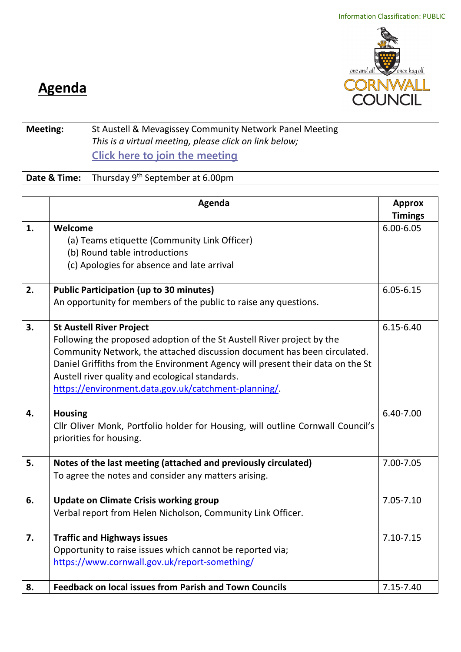

## **Agenda**

| <b>Meeting:</b> | St Austell & Mevagissey Community Network Panel Meeting<br>This is a virtual meeting, please click on link below;<br>Click here to join the meeting |  |
|-----------------|-----------------------------------------------------------------------------------------------------------------------------------------------------|--|
|                 | <b>Date &amp; Time:</b> Thursday $9^{th}$ September at 6.00pm                                                                                       |  |

|    | Agenda                                                                          | <b>Approx</b>  |
|----|---------------------------------------------------------------------------------|----------------|
|    |                                                                                 | <b>Timings</b> |
| 1. | Welcome                                                                         | $6.00 - 6.05$  |
|    | (a) Teams etiquette (Community Link Officer)                                    |                |
|    | (b) Round table introductions                                                   |                |
|    | (c) Apologies for absence and late arrival                                      |                |
| 2. | <b>Public Participation (up to 30 minutes)</b>                                  | $6.05 - 6.15$  |
|    | An opportunity for members of the public to raise any questions.                |                |
| 3. | <b>St Austell River Project</b>                                                 | $6.15 - 6.40$  |
|    | Following the proposed adoption of the St Austell River project by the          |                |
|    | Community Network, the attached discussion document has been circulated.        |                |
|    | Daniel Griffiths from the Environment Agency will present their data on the St  |                |
|    | Austell river quality and ecological standards.                                 |                |
|    | https://environment.data.gov.uk/catchment-planning/.                            |                |
| 4. | <b>Housing</b>                                                                  | 6.40-7.00      |
|    | Cllr Oliver Monk, Portfolio holder for Housing, will outline Cornwall Council's |                |
|    | priorities for housing.                                                         |                |
| 5. | Notes of the last meeting (attached and previously circulated)                  | 7.00-7.05      |
|    | To agree the notes and consider any matters arising.                            |                |
| 6. | <b>Update on Climate Crisis working group</b>                                   | 7.05-7.10      |
|    | Verbal report from Helen Nicholson, Community Link Officer.                     |                |
| 7. | <b>Traffic and Highways issues</b>                                              | $7.10 - 7.15$  |
|    | Opportunity to raise issues which cannot be reported via;                       |                |
|    | https://www.cornwall.gov.uk/report-something/                                   |                |
| 8. | <b>Feedback on local issues from Parish and Town Councils</b>                   | 7.15-7.40      |
|    |                                                                                 |                |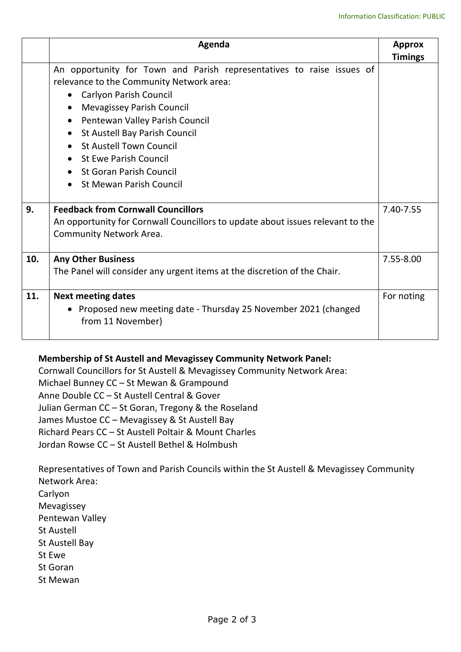|     | Agenda                                                                                                                                                                                                                                                                                                                                                                                                                                                               | <b>Approx</b><br><b>Timings</b> |
|-----|----------------------------------------------------------------------------------------------------------------------------------------------------------------------------------------------------------------------------------------------------------------------------------------------------------------------------------------------------------------------------------------------------------------------------------------------------------------------|---------------------------------|
| 9.  | An opportunity for Town and Parish representatives to raise issues of<br>relevance to the Community Network area:<br><b>Carlyon Parish Council</b><br>$\bullet$<br><b>Mevagissey Parish Council</b><br>Pentewan Valley Parish Council<br>$\bullet$<br>St Austell Bay Parish Council<br>$\bullet$<br>• St Austell Town Council<br>• St Ewe Parish Council<br>• St Goran Parish Council<br><b>St Mewan Parish Council</b><br><b>Feedback from Cornwall Councillors</b> | 7.40-7.55                       |
|     | An opportunity for Cornwall Councillors to update about issues relevant to the<br>Community Network Area.                                                                                                                                                                                                                                                                                                                                                            |                                 |
| 10. | <b>Any Other Business</b><br>The Panel will consider any urgent items at the discretion of the Chair.                                                                                                                                                                                                                                                                                                                                                                |                                 |
| 11. | <b>Next meeting dates</b><br>• Proposed new meeting date - Thursday 25 November 2021 (changed<br>from 11 November)                                                                                                                                                                                                                                                                                                                                                   | For noting                      |

## **Membership of St Austell and Mevagissey Community Network Panel:**

Cornwall Councillors for St Austell & Mevagissey Community Network Area: Michael Bunney CC – St Mewan & Grampound Anne Double CC – St Austell Central & Gover Julian German CC – St Goran, Tregony & the Roseland James Mustoe CC – Mevagissey & St Austell Bay Richard Pears CC – St Austell Poltair & Mount Charles Jordan Rowse CC – St Austell Bethel & Holmbush

Representatives of Town and Parish Councils within the St Austell & Mevagissey Community Network Area: Carlyon Mevagissey Pentewan Valley St Austell St Austell Bay St Ewe St Goran St Mewan